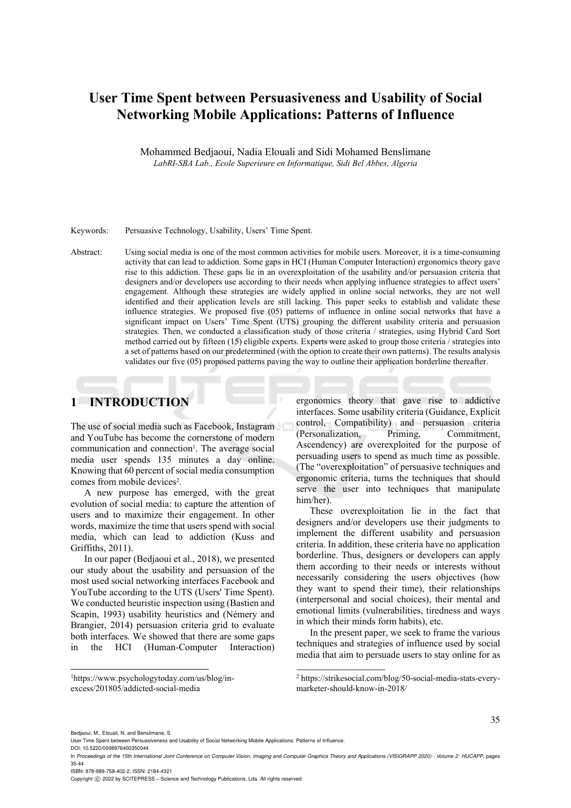# **User Time Spent between Persuasiveness and Usability of Social Networking Mobile Applications: Patterns of Influence**

Mohammed Bedjaoui, Nadia Elouali and Sidi Mohamed Benslimane *LabRI-SBA Lab., Ecole Superieure en Informatique, Sidi Bel Abbes, Algeria* 

#### Keywords: Persuasive Technology, Usability, Users' Time Spent.

Abstract: Using social media is one of the most common activities for mobile users. Moreover, it is a time-consuming activity that can lead to addiction. Some gaps in HCI (Human Computer Interaction) ergonomics theory gave rise to this addiction. These gaps lie in an overexploitation of the usability and/or persuasion criteria that designers and/or developers use according to their needs when applying influence strategies to affect users' engagement. Although these strategies are widely applied in online social networks, they are not well identified and their application levels are still lacking. This paper seeks to establish and validate these influence strategies. We proposed five (05) patterns of influence in online social networks that have a significant impact on Users' Time Spent (UTS) grouping the different usability criteria and persuasion strategies. Then, we conducted a classification study of those criteria / strategies, using Hybrid Card Sort method carried out by fifteen (15) eligible experts. Experts were asked to group those criteria / strategies into a set of patterns based on our predetermined (with the option to create their own patterns). The results analysis validates our five (05) proposed patterns paving the way to outline their application borderline thereafter.

### **1 INTRODUCTION**

The use of social media such as Facebook, Instagram and YouTube has become the cornerstone of modern communication and connection<sup>1</sup>. The average social media user spends 135 minutes a day online. Knowing that 60 percent of social media consumption comes from mobile devices<sup>2</sup>.

A new purpose has emerged, with the great evolution of social media: to capture the attention of users and to maximize their engagement. In other words, maximize the time that users spend with social media, which can lead to addiction (Kuss and Griffiths, 2011).

In our paper (Bedjaoui et al., 2018), we presented our study about the usability and persuasion of the most used social networking interfaces Facebook and YouTube according to the UTS (Users' Time Spent). We conducted heuristic inspection using (Bastien and Scapin, 1993) usability heuristics and (Némery and Brangier, 2014) persuasion criteria grid to evaluate both interfaces. We showed that there are some gaps in the HCI (Human-Computer Interaction) ergonomics theory that gave rise to addictive interfaces. Some usability criteria (Guidance, Explicit control, Compatibility) and persuasion criteria (Personalization, Priming, Commitment, Ascendency) are overexploited for the purpose of persuading users to spend as much time as possible. (The "overexploitation" of persuasive techniques and ergonomic criteria, turns the techniques that should serve the user into techniques that manipulate him/her).

These overexploitation lie in the fact that designers and/or developers use their judgments to implement the different usability and persuasion criteria. In addition, these criteria have no application borderline. Thus, designers or developers can apply them according to their needs or interests without necessarily considering the users objectives (how they want to spend their time), their relationships (interpersonal and social choices), their mental and emotional limits (vulnerabilities, tiredness and ways in which their minds form habits), etc.

In the present paper, we seek to frame the various techniques and strategies of influence used by social media that aim to persuade users to stay online for as

<sup>2</sup> https://strikesocial.com/blog/50-social-media-stats-everymarketer-should-know-in-2018/

DOI: 10.5220/0008976400350044

 $\overline{a}$ 

ISBN: 978-989-758-402-2; ISSN: 2184-4321

<sup>1</sup> https://www.psychologytoday.com/us/blog/inexcess/201805/addicted-social-media

Bedjaoui, M., Elouali, N. and Benslimane, S.

User Time Spent between Persuasiveness and Usability of Social Networking Mobile Applications: Patterns of Influence.

In *Proceedings of the 15th International Joint Conference on Computer Vision, Imaging and Computer Graphics Theory and Applications (VISIGRAPP 2020) - Volume 2: HUCAPP*, pages 35-44

Copyright (C) 2022 by SCITEPRESS - Science and Technology Publications, Lda. All rights reserved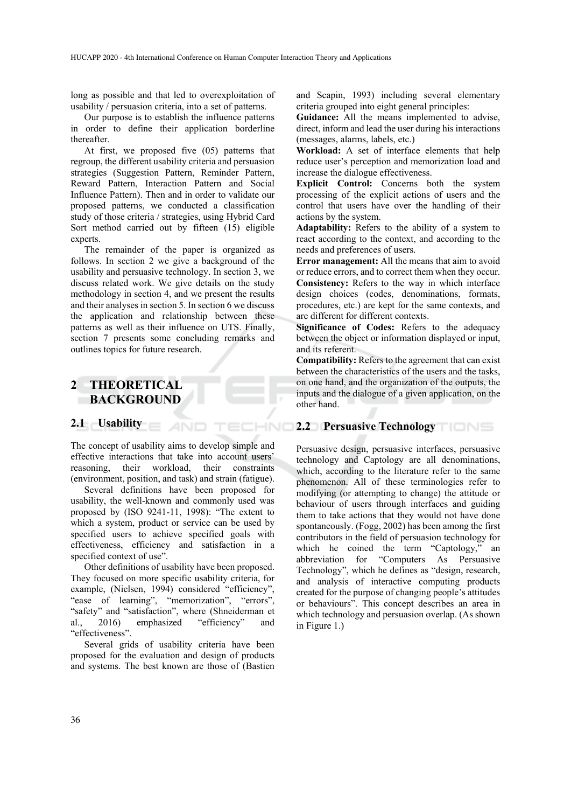long as possible and that led to overexploitation of usability / persuasion criteria, into a set of patterns.

Our purpose is to establish the influence patterns in order to define their application borderline thereafter.

At first, we proposed five (05) patterns that regroup, the different usability criteria and persuasion strategies (Suggestion Pattern, Reminder Pattern, Reward Pattern, Interaction Pattern and Social Influence Pattern). Then and in order to validate our proposed patterns, we conducted a classification study of those criteria / strategies, using Hybrid Card Sort method carried out by fifteen (15) eligible experts.

The remainder of the paper is organized as follows. In section 2 we give a background of the usability and persuasive technology. In section 3, we discuss related work. We give details on the study methodology in section 4, and we present the results and their analyses in section 5. In section 6 we discuss the application and relationship between these patterns as well as their influence on UTS. Finally, section 7 presents some concluding remarks and outlines topics for future research.

### **2 THEORETICAL BACKGROUND**

### **2.1 Usability**

The concept of usability aims to develop simple and effective interactions that take into account users' reasoning, their workload, their constraints (environment, position, and task) and strain (fatigue).

**AND** 

ECHNO

Several definitions have been proposed for usability, the well-known and commonly used was proposed by (ISO 9241-11, 1998): "The extent to which a system, product or service can be used by specified users to achieve specified goals with effectiveness, efficiency and satisfaction in a specified context of use".

Other definitions of usability have been proposed. They focused on more specific usability criteria, for example, (Nielsen, 1994) considered "efficiency", "ease of learning", "memorization", "errors", "safety" and "satisfaction", where (Shneiderman et al., 2016) emphasized "efficiency" and "effectiveness".

Several grids of usability criteria have been proposed for the evaluation and design of products and systems. The best known are those of (Bastien

and Scapin, 1993) including several elementary criteria grouped into eight general principles:

**Guidance:** All the means implemented to advise, direct, inform and lead the user during his interactions (messages, alarms, labels, etc.)

**Workload:** A set of interface elements that help reduce user's perception and memorization load and increase the dialogue effectiveness.

**Explicit Control:** Concerns both the system processing of the explicit actions of users and the control that users have over the handling of their actions by the system.

**Adaptability:** Refers to the ability of a system to react according to the context, and according to the needs and preferences of users.

**Error management:** All the means that aim to avoid or reduce errors, and to correct them when they occur. **Consistency:** Refers to the way in which interface design choices (codes, denominations, formats, procedures, etc.) are kept for the same contexts, and are different for different contexts.

**Significance of Codes:** Refers to the adequacy between the object or information displayed or input, and its referent.

**Compatibility:** Refers to the agreement that can exist between the characteristics of the users and the tasks, on one hand, and the organization of the outputs, the inputs and the dialogue of a given application, on the other hand.

#### **2.2 Persuasive Technology**

Persuasive design, persuasive interfaces, persuasive technology and Captology are all denominations, which, according to the literature refer to the same phenomenon. All of these terminologies refer to modifying (or attempting to change) the attitude or behaviour of users through interfaces and guiding them to take actions that they would not have done spontaneously. (Fogg, 2002) has been among the first contributors in the field of persuasion technology for which he coined the term "Captology," an abbreviation for "Computers As Persuasive Technology", which he defines as "design, research, and analysis of interactive computing products created for the purpose of changing people's attitudes or behaviours". This concept describes an area in which technology and persuasion overlap. (As shown in Figure 1.)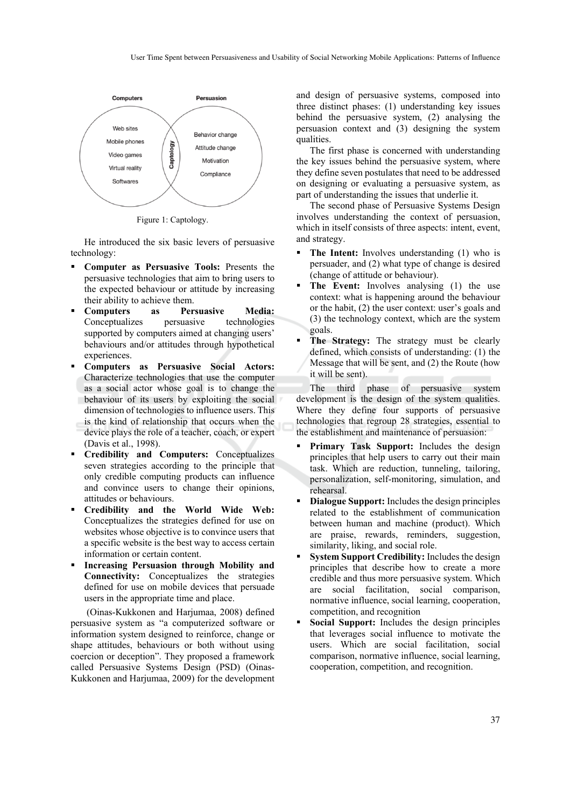

Figure 1: Captology.

He introduced the six basic levers of persuasive technology:

- **Computer as Persuasive Tools:** Presents the persuasive technologies that aim to bring users to the expected behaviour or attitude by increasing their ability to achieve them.
- **Computers as Persuasive Media:** Conceptualizes persuasive technologies supported by computers aimed at changing users' behaviours and/or attitudes through hypothetical experiences.
- **Computers as Persuasive Social Actors:** Characterize technologies that use the computer as a social actor whose goal is to change the behaviour of its users by exploiting the social dimension of technologies to influence users. This is the kind of relationship that occurs when the device plays the role of a teacher, coach, or expert (Davis et al., 1998).
- **Credibility and Computers:** Conceptualizes seven strategies according to the principle that only credible computing products can influence and convince users to change their opinions, attitudes or behaviours.
- **Credibility and the World Wide Web:**  Conceptualizes the strategies defined for use on websites whose objective is to convince users that a specific website is the best way to access certain information or certain content.
- **Increasing Persuasion through Mobility and Connectivity:** Conceptualizes the strategies defined for use on mobile devices that persuade users in the appropriate time and place.

 (Oinas-Kukkonen and Harjumaa, 2008) defined persuasive system as "a computerized software or information system designed to reinforce, change or shape attitudes, behaviours or both without using coercion or deception". They proposed a framework called Persuasive Systems Design (PSD) (Oinas-Kukkonen and Harjumaa, 2009) for the development

and design of persuasive systems, composed into three distinct phases: (1) understanding key issues behind the persuasive system, (2) analysing the persuasion context and (3) designing the system qualities.

The first phase is concerned with understanding the key issues behind the persuasive system, where they define seven postulates that need to be addressed on designing or evaluating a persuasive system, as part of understanding the issues that underlie it.

The second phase of Persuasive Systems Design involves understanding the context of persuasion, which in itself consists of three aspects: intent, event, and strategy.

- **The Intent:** Involves understanding (1) who is persuader, and (2) what type of change is desired (change of attitude or behaviour).
- **The Event:** Involves analysing (1) the use context: what is happening around the behaviour or the habit, (2) the user context: user's goals and (3) the technology context, which are the system goals.
- **The Strategy:** The strategy must be clearly defined, which consists of understanding: (1) the Message that will be sent, and (2) the Route (how it will be sent).

The third phase of persuasive system development is the design of the system qualities. Where they define four supports of persuasive technologies that regroup 28 strategies, essential to the establishment and maintenance of persuasion:

- **Primary Task Support:** Includes the design principles that help users to carry out their main task. Which are reduction, tunneling, tailoring, personalization, self-monitoring, simulation, and rehearsal.
- **Dialogue Support:** Includes the design principles related to the establishment of communication between human and machine (product). Which are praise, rewards, reminders, suggestion, similarity, liking, and social role.
- **System Support Credibility:** Includes the design principles that describe how to create a more credible and thus more persuasive system. Which are social facilitation, social comparison, normative influence, social learning, cooperation, competition, and recognition
- **Social Support:** Includes the design principles that leverages social influence to motivate the users. Which are social facilitation, social comparison, normative influence, social learning, cooperation, competition, and recognition.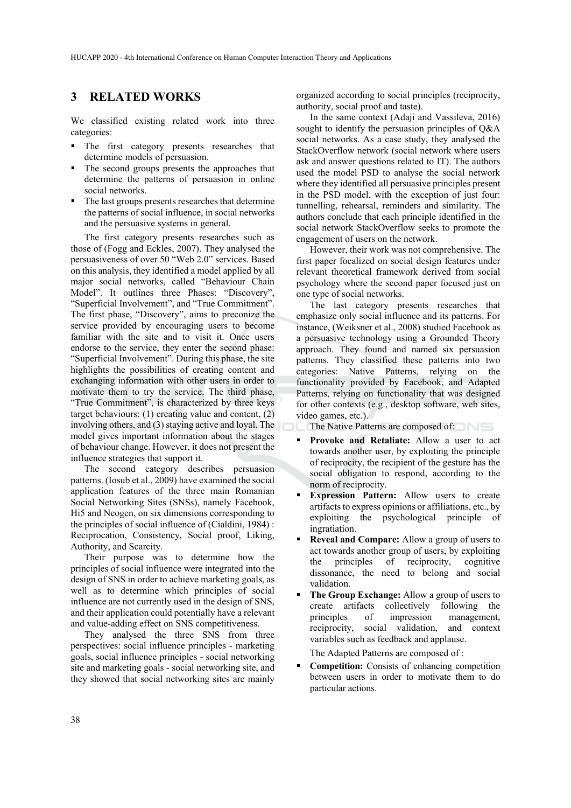#### **3 RELATED WORKS**

We classified existing related work into three categories:

- The first category presents researches that determine models of persuasion.
- The second groups presents the approaches that determine the patterns of persuasion in online social networks.
- The last groups presents researches that determine the patterns of social influence, in social networks and the persuasive systems in general.

The first category presents researches such as those of (Fogg and Eckles, 2007). They analysed the persuasiveness of over 50 "Web 2.0" services. Based on this analysis, they identified a model applied by all major social networks, called "Behaviour Chain Model". It outlines three Phases: "Discovery", "Superficial Involvement", and "True Commitment". The first phase, "Discovery", aims to preconize the service provided by encouraging users to become familiar with the site and to visit it. Once users endorse to the service, they enter the second phase: "Superficial Involvement". During this phase, the site highlights the possibilities of creating content and exchanging information with other users in order to motivate them to try the service. The third phase, "True Commitment", is characterized by three keys target behaviours: (1) creating value and content, (2) involving others, and (3) staying active and loyal. The model gives important information about the stages of behaviour change. However, it does not present the influence strategies that support it.

The second category describes persuasion patterns. (Iosub et al., 2009) have examined the social application features of the three main Romanian Social Networking Sites (SNSs), namely Facebook, Hi5 and Neogen, on six dimensions corresponding to the principles of social influence of (Cialdini, 1984) : Reciprocation, Consistency, Social proof, Liking, Authority, and Scarcity.

Their purpose was to determine how the principles of social influence were integrated into the design of SNS in order to achieve marketing goals, as well as to determine which principles of social influence are not currently used in the design of SNS, and their application could potentially have a relevant and value-adding effect on SNS competitiveness.

They analysed the three SNS from three perspectives: social influence principles - marketing goals, social influence principles - social networking site and marketing goals - social networking site, and they showed that social networking sites are mainly organized according to social principles (reciprocity, authority, social proof and taste).

In the same context (Adaji and Vassileva, 2016) sought to identify the persuasion principles of Q&A social networks. As a case study, they analysed the StackOverflow network (social network where users ask and answer questions related to IT). The authors used the model PSD to analyse the social network where they identified all persuasive principles present in the PSD model, with the exception of just four: tunnelling, rehearsal, reminders and similarity. The authors conclude that each principle identified in the social network StackOverflow seeks to promote the engagement of users on the network.

However, their work was not comprehensive. The first paper focalized on social design features under relevant theoretical framework derived from social psychology where the second paper focused just on one type of social networks.

The last category presents researches that emphasize only social influence and its patterns. For instance, (Weiksner et al., 2008) studied Facebook as a persuasive technology using a Grounded Theory approach. They found and named six persuasion patterns. They classified these patterns into two categories: Native Patterns, relying on the functionality provided by Facebook, and Adapted Patterns, relying on functionality that was designed for other contexts (e.g., desktop software, web sites, video games, etc.).

The Native Patterns are composed of:

- **Provoke and Retaliate:** Allow a user to act towards another user, by exploiting the principle of reciprocity, the recipient of the gesture has the social obligation to respond, according to the norm of reciprocity.
- **Expression Pattern:** Allow users to create artifacts to express opinions or affiliations, etc., by exploiting the psychological principle of ingratiation.
- **Reveal and Compare:** Allow a group of users to act towards another group of users, by exploiting the principles of reciprocity, cognitive dissonance, the need to belong and social validation.
- **The Group Exchange:** Allow a group of users to create artifacts collectively following the principles of impression management, reciprocity, social validation, and context variables such as feedback and applause.

The Adapted Patterns are composed of :

 **Competition:** Consists of enhancing competition between users in order to motivate them to do particular actions.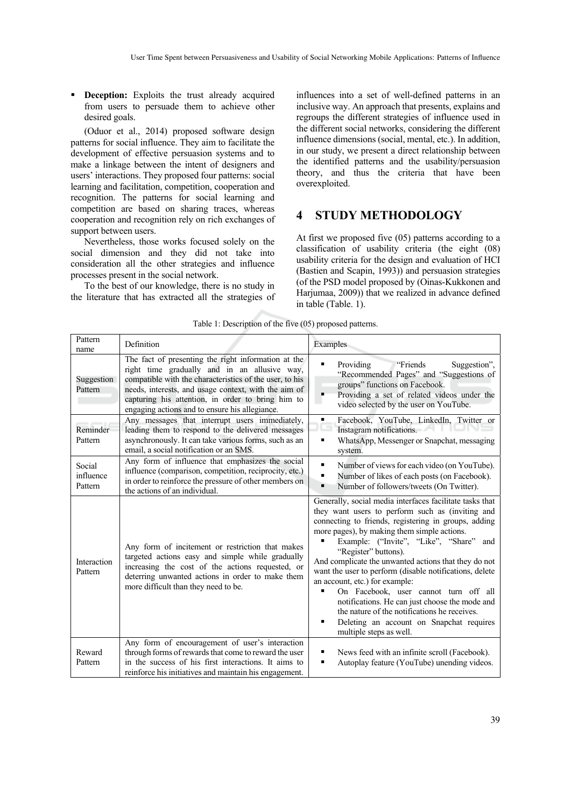**Deception:** Exploits the trust already acquired from users to persuade them to achieve other desired goals.

(Oduor et al., 2014) proposed software design patterns for social influence. They aim to facilitate the development of effective persuasion systems and to make a linkage between the intent of designers and users' interactions. They proposed four patterns: social learning and facilitation, competition, cooperation and recognition. The patterns for social learning and competition are based on sharing traces, whereas cooperation and recognition rely on rich exchanges of support between users.

Nevertheless, those works focused solely on the social dimension and they did not take into consideration all the other strategies and influence processes present in the social network.

To the best of our knowledge, there is no study in the literature that has extracted all the strategies of

influences into a set of well-defined patterns in an inclusive way. An approach that presents, explains and regroups the different strategies of influence used in the different social networks, considering the different influence dimensions (social, mental, etc.). In addition, in our study, we present a direct relationship between the identified patterns and the usability/persuasion theory, and thus the criteria that have been overexploited.

# **4 STUDY METHODOLOGY**

At first we proposed five (05) patterns according to a classification of usability criteria (the eight (08) usability criteria for the design and evaluation of HCI (Bastien and Scapin, 1993)) and persuasion strategies (of the PSD model proposed by (Oinas-Kukkonen and Harjumaa, 2009)) that we realized in advance defined in table (Table. 1).

| Pattern<br>name                | Definition                                                                                                                                                                                                                                                                                                                    | Examples                                                                                                                                                                                                                                                                                                                                                                                                                                                                                                                                                                                                                                                              |
|--------------------------------|-------------------------------------------------------------------------------------------------------------------------------------------------------------------------------------------------------------------------------------------------------------------------------------------------------------------------------|-----------------------------------------------------------------------------------------------------------------------------------------------------------------------------------------------------------------------------------------------------------------------------------------------------------------------------------------------------------------------------------------------------------------------------------------------------------------------------------------------------------------------------------------------------------------------------------------------------------------------------------------------------------------------|
| Suggestion<br>Pattern          | The fact of presenting the right information at the<br>right time gradually and in an allusive way,<br>compatible with the characteristics of the user, to his<br>needs, interests, and usage context, with the aim of<br>capturing his attention, in order to bring him to<br>engaging actions and to ensure his allegiance. | Suggestion",<br>Providing<br>"Friends"<br>"Recommended Pages" and "Suggestions of<br>groups" functions on Facebook.<br>Providing a set of related videos under the<br>video selected by the user on YouTube.                                                                                                                                                                                                                                                                                                                                                                                                                                                          |
| Reminder<br>Pattern            | Any messages that interrupt users immediately,<br>leading them to respond to the delivered messages<br>asynchronously. It can take various forms, such as an<br>email, a social notification or an SMS.                                                                                                                       | Facebook, YouTube, LinkedIn, Twitter or<br>٠<br>Instagram notifications.<br>WhatsApp, Messenger or Snapchat, messaging<br>٠<br>system.                                                                                                                                                                                                                                                                                                                                                                                                                                                                                                                                |
| Social<br>influence<br>Pattern | Any form of influence that emphasizes the social<br>influence (comparison, competition, reciprocity, etc.)<br>in order to reinforce the pressure of other members on<br>the actions of an individual.                                                                                                                         | Number of views for each video (on YouTube).<br>٠<br>Number of likes of each posts (on Facebook).<br>Number of followers/tweets (On Twitter).<br>$\blacksquare$                                                                                                                                                                                                                                                                                                                                                                                                                                                                                                       |
| Interaction<br>Pattern         | Any form of incitement or restriction that makes<br>targeted actions easy and simple while gradually<br>increasing the cost of the actions requested, or<br>deterring unwanted actions in order to make them<br>more difficult than they need to be.                                                                          | Generally, social media interfaces facilitate tasks that<br>they want users to perform such as (inviting and<br>connecting to friends, registering in groups, adding<br>more pages), by making them simple actions.<br>Example: ("Invite", "Like", "Share"<br>and<br>"Register" buttons).<br>And complicate the unwanted actions that they do not<br>want the user to perform (disable notifications, delete<br>an account, etc.) for example:<br>On Facebook, user cannot turn off all<br>notifications. He can just choose the mode and<br>the nature of the notifications he receives.<br>Deleting an account on Snapchat requires<br>٠<br>multiple steps as well. |
| Reward<br>Pattern              | Any form of encouragement of user's interaction<br>through forms of rewards that come to reward the user<br>in the success of his first interactions. It aims to<br>reinforce his initiatives and maintain his engagement.                                                                                                    | News feed with an infinite scroll (Facebook).<br>٠<br>Autoplay feature (YouTube) unending videos.<br>٠                                                                                                                                                                                                                                                                                                                                                                                                                                                                                                                                                                |

Table 1: Description of the five (05) proposed patterns.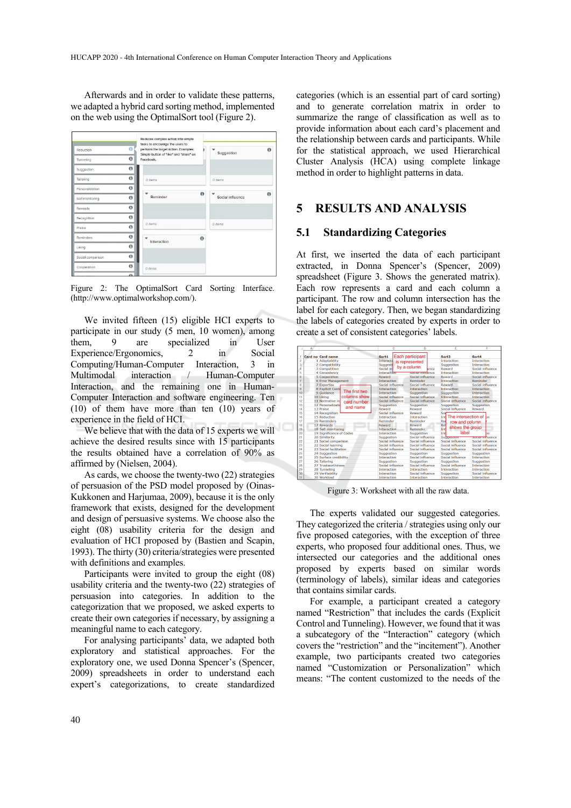Afterwards and in order to validate these patterns, we adapted a hybrid card sorting method, implemented on the web using the OptimalSort tool (Figure 2).

| Reduction         | $\Omega$   | Reduces complex action into simple<br>tasks to encourage the users to<br>perform the target action. Examples:<br>Simple button of "like" and "share" on |          | Suggestion       | $\bullet$ |
|-------------------|------------|---------------------------------------------------------------------------------------------------------------------------------------------------------|----------|------------------|-----------|
| Tunneling         | $\theta$   | Facebook.                                                                                                                                               |          |                  |           |
| Suggestion        | $\theta$   |                                                                                                                                                         |          |                  |           |
| Tailoring         | $\theta$   | $0$ items                                                                                                                                               |          | 0 items          |           |
| Personalization   | $\bf{0}$   |                                                                                                                                                         |          |                  |           |
| Self-monitoring   | $\theta$   | Reminder                                                                                                                                                | $\theta$ | Social influence | $\theta$  |
| Rewards           | $\theta$   |                                                                                                                                                         |          |                  |           |
| Recognition       | $\theta$   |                                                                                                                                                         |          |                  |           |
| Praise            | $\theta$   | 0 items                                                                                                                                                 |          | 0 items          |           |
| Reminders         | $\theta$   | ÷<br>Interaction                                                                                                                                        | $\theta$ |                  |           |
| Liking            | $\theta$   |                                                                                                                                                         |          |                  |           |
| Social comparison | $\theta$   |                                                                                                                                                         |          |                  |           |
| Cooperation       | $\theta$   | 0 items                                                                                                                                                 |          |                  |           |
|                   | $\sqrt{2}$ |                                                                                                                                                         |          |                  |           |

Figure 2: The OptimalSort Card Sorting Interface. (http://www.optimalworkshop.com/).

We invited fifteen (15) eligible HCI experts to participate in our study (5 men, 10 women), among them, 9 are specialized in User Experience/Ergonomics 2 in Social Computing/Human-Computer Interaction, 3 in Multimodal interaction / Human-Computer Interaction, and the remaining one in Human-Computer Interaction and software engineering. Ten (10) of them have more than ten (10) years of experience in the field of HCI.

We believe that with the data of 15 experts we will achieve the desired results since with 15 participants the results obtained have a correlation of 90% as affirmed by (Nielsen, 2004).

As cards, we choose the twenty-two (22) strategies of persuasion of the PSD model proposed by (Oinas-Kukkonen and Harjumaa, 2009), because it is the only framework that exists, designed for the development and design of persuasive systems. We choose also the eight (08) usability criteria for the design and evaluation of HCI proposed by (Bastien and Scapin, 1993). The thirty (30) criteria/strategies were presented with definitions and examples.

Participants were invited to group the eight (08) usability criteria and the twenty-two (22) strategies of persuasion into categories. In addition to the categorization that we proposed, we asked experts to create their own categories if necessary, by assigning a meaningful name to each category.

For analysing participants' data, we adapted both exploratory and statistical approaches. For the exploratory one, we used Donna Spencer's (Spencer, 2009) spreadsheets in order to understand each expert's categorizations, to create standardized

categories (which is an essential part of card sorting) and to generate correlation matrix in order to summarize the range of classification as well as to provide information about each card's placement and the relationship between cards and participants. While for the statistical approach, we used Hierarchical Cluster Analysis (HCA) using complete linkage method in order to highlight patterns in data.

#### **5 RESULTS AND ANALYSIS**

#### **5.1 Standardizing Categories**

At first, we inserted the data of each participant extracted, in Donna Spencer's (Spencer, 2009) spreadsheet (Figure 3. Shows the generated matrix). Each row represents a card and each column a participant. The row and column intersection has the label for each category. Then, we began standardizing the labels of categories created by experts in order to create a set of consistent categories' labels.

|                 | А | R                          |               |                    | c                                      |                           | n                |                                                    | F                            |                    | F                  |  |
|-----------------|---|----------------------------|---------------|--------------------|----------------------------------------|---------------------------|------------------|----------------------------------------------------|------------------------------|--------------------|--------------------|--|
|                 |   | Card no Card name          |               | Sort1              |                                        | Each participant          |                  | Sort3                                              |                              | Sort4              |                    |  |
| $\overline{2}$  |   | 1 Adaptability             |               | <b>Interacti</b>   | is represented                         |                           |                  | <b>Interaction</b>                                 |                              | <b>Interaction</b> |                    |  |
| 3               |   | 2 Compatibility            |               | Suggesti           |                                        |                           |                  |                                                    | Suggestion                   |                    | Interaction        |  |
| đ               |   | 3 Competition              |               | Social in          |                                        | by a column               | ence             | Reward                                             |                              | Social influence   |                    |  |
| 5               |   | 4 Consistency              |               |                    | <b>Interaction</b>                     |                           | Sucra miluence   |                                                    | Interaction                  |                    | Interaction        |  |
| 6               |   | 5 Cooperation              |               | Reward             |                                        |                           | Social influence |                                                    | Reward                       |                    | Social influence   |  |
|                 |   | 6 Error Management         |               |                    | <b>Interaction</b>                     |                           | Reminder         |                                                    | <b>Interaction</b>           |                    | Reminder           |  |
| 8               |   | 7 Expertise                |               |                    | Social influence                       |                           | Social influence |                                                    | Reward                       |                    | Social influence   |  |
| q               |   | 8 Explicit Contr           |               | <b>Interaction</b> |                                        | Interaction               |                  |                                                    | Interaction                  | Interaction        |                    |  |
| 10              |   | 9 Guidance                 | The first two | <b>Interaction</b> |                                        | Suggestion                |                  |                                                    | Suggestion                   |                    | Interaction        |  |
| 11              |   | 10 Liking                  | columns show  | Social influence   |                                        | Social influence          |                  |                                                    | <b>Interaction</b>           | Interaction        |                    |  |
| 12              |   | 11 Normative in            | card number   | Social Influence   |                                        | Social Influence          |                  |                                                    | Social Influence             |                    | Social Influence   |  |
| 13              |   | 12 Personalizatio          | and name      | Suggestion         |                                        | Suggestion                |                  |                                                    | Suggestion                   | Suggestion         |                    |  |
| 14              |   | 13 Praise                  |               | Reward             |                                        | Reward                    |                  |                                                    | Social influence             | Reward             |                    |  |
| 15              |   | 14 Recognition             |               | Social influence   |                                        | Reward                    |                  | Sot                                                |                              |                    |                    |  |
| 16              |   | <b>15 Reduction</b>        |               | <b>Interaction</b> |                                        | Interaction               |                  | Int The intersection of bn<br>Re<br>row and column |                              |                    |                    |  |
| 17              |   | 16 Reminders<br>17 Rewards |               | Reminder<br>Reward |                                        | <b>Reminder</b><br>Reward |                  |                                                    |                              |                    |                    |  |
| 18              |   |                            |               |                    |                                        |                           |                  |                                                    | <b>Re</b><br>shows the group |                    |                    |  |
| 19              |   | 18 Self-monitoring         |               |                    | <b>Interaction</b>                     |                           | Reminder         |                                                    | Int                          |                    |                    |  |
| 20              |   | 19 Significance of Codes   |               | <b>Interaction</b> |                                        | Suggestion                |                  | label<br>Int                                       |                              |                    | bn                 |  |
| 21              |   | 20 Similarity              |               | Suggestion         |                                        | Social influence          |                  | Suggestion                                         |                              |                    | Sucra miluence     |  |
| $\overline{22}$ |   | 21 Social comparison       |               | Social Influence   |                                        | Social Influence          |                  | Social Influence                                   |                              |                    | Social influence   |  |
| 23              |   | 22 Social learning         |               | Social influence   |                                        | Social influence          |                  | Social influence                                   |                              |                    | Social influence   |  |
| 24              |   | 23 Social facilitation     |               | Social influence   |                                        | Social influence          |                  | Social influence                                   |                              |                    | Social influence   |  |
| 25              |   | 24 Suggestion              |               |                    | Suggestion<br>Suggestion               |                           |                  | Suggestion                                         |                              | Suggestion         |                    |  |
| 26              |   | 25 Surface credibility     |               |                    | <b>Interaction</b><br>Social influence |                           |                  | Social influence                                   |                              | Interaction        |                    |  |
| 27              |   | 26 Talloring               |               |                    | Suggestion<br>Suggestion               |                           |                  | <b>Suggestion</b>                                  |                              | Suggestion         |                    |  |
| 28              |   | 27 Trustworthiness         |               |                    | Social influence                       |                           | Social influence |                                                    | Social influence             |                    | <b>Interaction</b> |  |
| 29              |   | 28 Tunneling               |               |                    | Interaction<br>Interaction             |                           |                  | <b>Interaction</b>                                 |                              | Interaction        |                    |  |
| 30              |   | 29 Verifiability           |               | Interaction        |                                        | Social influence          |                  |                                                    | Suggestion                   |                    | Social influence   |  |
| 31              |   | 30 Workload                |               |                    | <b>Interaction</b><br>Interaction      |                           |                  |                                                    | <b>Interaction</b>           | Interaction        |                    |  |

Figure 3: Worksheet with all the raw data.

The experts validated our suggested categories. They categorized the criteria / strategies using only our five proposed categories, with the exception of three experts, who proposed four additional ones. Thus, we intersected our categories and the additional ones proposed by experts based on similar words (terminology of labels), similar ideas and categories that contains similar cards.

For example, a participant created a category named "Restriction" that includes the cards (Explicit Control and Tunneling). However, we found that it was a subcategory of the "Interaction" category (which covers the "restriction" and the "incitement"). Another example, two participants created two categories named "Customization or Personalization" which means: "The content customized to the needs of the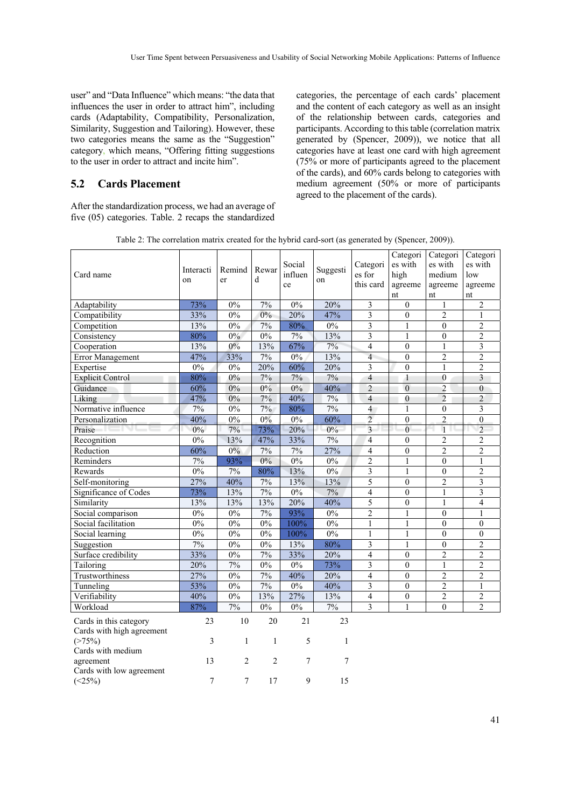user" and "Data Influence" which means: "the data that influences the user in order to attract him", including cards (Adaptability, Compatibility, Personalization, Similarity, Suggestion and Tailoring). However, these two categories means the same as the "Suggestion" category, which means, "Offering fitting suggestions to the user in order to attract and incite him".

#### **5.2 Cards Placement**

After the standardization process, we had an average of five (05) categories. Table. 2 recaps the standardized categories, the percentage of each cards' placement and the content of each category as well as an insight of the relationship between cards, categories and participants. According to this table (correlation matrix generated by (Spencer, 2009)), we notice that all categories have at least one card with high agreement (75% or more of participants agreed to the placement of the cards), and 60% cards belong to categories with medium agreement (50% or more of participants agreed to the placement of the cards).

| Card name                                           | Interacti<br>on | Remind<br>er   | Rewar<br>d     | Social<br>influen<br>ce | Suggesti<br>on | Categori<br>es for<br>this card | Categori<br>es with<br>high<br>agreeme<br>nt | Categori<br>es with<br>medium<br>agreeme<br>nt | Categori<br>es with<br>low<br>agreeme<br>nt |
|-----------------------------------------------------|-----------------|----------------|----------------|-------------------------|----------------|---------------------------------|----------------------------------------------|------------------------------------------------|---------------------------------------------|
| Adaptability                                        | 73%             | $0\%$          | 7%             | $0\%$                   | 20%            | $\sqrt{3}$                      | $\boldsymbol{0}$                             | 1                                              | $\overline{c}$                              |
| Compatibility                                       | 33%             | $0\%$          | 0%             | 20%                     | 47%            | $\overline{\mathbf{3}}$         | $\boldsymbol{0}$                             | $\overline{2}$                                 | 1                                           |
| Competition                                         | 13%             | 0%             | 7%             | 80%                     | 0%             | $\overline{3}$                  | $\mathbf{1}$                                 | $\theta$                                       | $\overline{2}$                              |
| Consistency                                         | 80%             | $0\%$          | 0%             | 7%                      | 13%            | $\overline{3}$                  | $\mathbf{1}$                                 | $\boldsymbol{0}$                               | $\overline{2}$                              |
| Cooperation                                         | 13%             | 0%             | 13%            | 67%                     | 7%             | $\overline{4}$                  | $\theta$                                     | 1                                              | 3                                           |
| Error Management                                    | 47%             | 33%            | 7%             | $0\%$                   | 13%            | $\overline{4}$                  | $\overline{0}$                               | $\overline{2}$                                 | $\overline{2}$                              |
| Expertise                                           | 0%              | 0%             | 20%            | 60%                     | 20%            | 3                               | $\theta$                                     | $\mathbf{1}$                                   | $\overline{2}$                              |
| <b>Explicit Control</b>                             | 80%             | 0%             | 7%             | 7%                      | 7%             | $\overline{4}$                  | $\mathbf{1}$                                 | $\overline{0}$                                 | $\overline{\mathbf{3}}$                     |
| Guidance                                            | 60%             | 0%             | 0%             | 0%                      | 40%            | $\overline{2}$                  | $\theta$                                     | $\overline{c}$                                 | $\boldsymbol{0}$                            |
| Liking                                              | 47%             | 0%             | 7%             | 40%                     | 7%             | $\overline{4}$                  | $\theta$                                     | $\overline{2}$                                 | $\overline{c}$                              |
| Normative influence                                 | 7%              | $0\%$          | 7%             | 80%                     | 7%             | $\overline{4}$                  | 1                                            | $\boldsymbol{0}$                               | 3                                           |
| Personalization                                     | 40%             | 0%             | 0%             | $0\%$                   | 60%            | $\overline{c}$                  | $\theta$                                     | $\overline{2}$                                 | $\boldsymbol{0}$                            |
| Praise                                              | $0\%$           | 7%             | 73%            | 20%                     | $0\%$          | $\overline{3}$                  | $\overline{0}$                               | $\overline{1}$                                 | $\overline{2}$                              |
| Recognition                                         | $0\%$           | 13%            | 47%            | 33%                     | 7%             | $\overline{4}$                  | $\theta$                                     | $\overline{c}$                                 | 2                                           |
| Reduction                                           | 60%             | $0\%$          | $7\%$          | $7\%$                   | 27%            | $\overline{4}$                  | $\boldsymbol{0}$                             | $\overline{2}$                                 | $\overline{c}$                              |
| Reminders                                           | 7%              | 93%            | $0\%$          | 0%                      | 0%             | $\overline{2}$                  | $\mathbf{1}$                                 | $\overline{0}$                                 | 1                                           |
| Rewards                                             | 0%              | 7%             | 80%            | 13%                     | $0\%$          | $\overline{\mathbf{3}}$         | $\mathbf{1}$                                 | $\overline{0}$                                 | $\overline{2}$                              |
| Self-monitoring                                     | 27%             | 40%            | $7\%$          | 13%                     | 13%            | 5                               | $\mathbf{0}$                                 | $\overline{c}$                                 | 3                                           |
| Significance of Codes                               | 73%             | 13%            | $7\%$          | $0\%$                   | $7\%$          | $\overline{4}$                  | $\boldsymbol{0}$                             | $\mathbf{1}$                                   | 3                                           |
| Similarity                                          | 13%             | 13%            | 13%            | 20%                     | 40%            | 5                               | $\overline{0}$                               | $\mathbf{1}$                                   | 4                                           |
| Social comparison                                   | 0%              | 0%             | 7%             | 93%                     | 0%             | $\overline{2}$                  | $\mathbf{1}$                                 | $\overline{0}$                                 | 1                                           |
| Social facilitation                                 | 0%              | $0\%$          | 0%             | 100%                    | $0\%$          | $\,1\,$                         | $\mathbf{1}$                                 | $\boldsymbol{0}$                               | $\theta$                                    |
| Social learning                                     | $0\%$           | $0\%$          | $0\%$          | 100%                    | 0%             | $\mathbf{1}$                    | 1                                            | $\overline{0}$                                 | $\overline{0}$                              |
| Suggestion                                          | 7%              | $0\%$          | $0\%$          | 13%                     | 80%            | $\overline{\mathbf{3}}$         | $\mathbf{1}$                                 | $\overline{0}$                                 | $\overline{2}$                              |
| Surface credibility                                 | 33%             | 0%             | 7%             | 33%                     | 20%            | $\overline{4}$                  | $\overline{0}$                               | $\overline{2}$                                 | $\overline{2}$                              |
| Tailoring                                           | 20%             | 7%             | 0%             | $0\%$                   | 73%            | 3                               | $\mathbf{0}$                                 | $\mathbf{1}$                                   | 2                                           |
| Trustworthiness                                     | 27%             | $0\%$          | 7%             | 40%                     | 20%            | $\overline{4}$                  | $\mathbf{0}$                                 | $\overline{2}$                                 | $\overline{2}$                              |
| Tunneling                                           | 53%             | 0%             | 7%             | 0%                      | 40%            | $\overline{3}$                  | $\mathbf{0}$                                 | $\overline{2}$                                 | $\mathbf{1}$                                |
| Verifiability                                       | 40%             | $0\%$          | 13%            | 27%                     | 13%            | $\overline{4}$                  | $\boldsymbol{0}$                             | $\overline{2}$                                 | $\overline{2}$                              |
| Workload                                            | 87%             | 7%             | $0\%$          | 0%                      | 7%             | 3                               | 1                                            | $\theta$                                       | $\overline{c}$                              |
| Cards in this category<br>Cards with high agreement | 23              | $10\,$         | 20             | 21                      | 23             |                                 |                                              |                                                |                                             |
| (>75%)<br>Cards with medium                         | 3               | $\mathbf{1}$   | $\mathbf{1}$   | 5                       | $\mathbf{1}$   |                                 |                                              |                                                |                                             |
| agreement<br>Cards with low agreement               | 13              | $\overline{c}$ | $\overline{2}$ | 7                       | 7              |                                 |                                              |                                                |                                             |
| $(<25\%)$                                           | 7               | 7              | 17             | 9                       | 15             |                                 |                                              |                                                |                                             |

Table 2: The correlation matrix created for the hybrid card-sort (as generated by (Spencer, 2009)).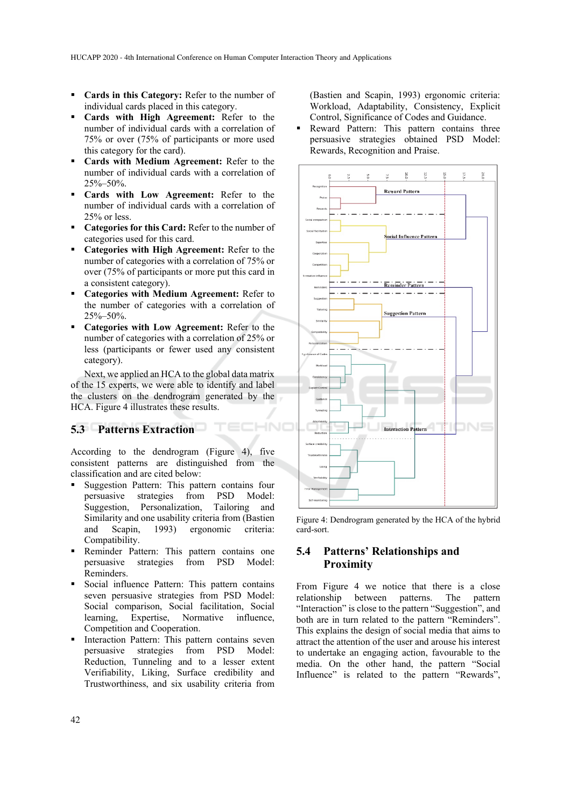- **Cards in this Category:** Refer to the number of individual cards placed in this category.
- **Cards with High Agreement:** Refer to the number of individual cards with a correlation of 75% or over (75% of participants or more used this category for the card).
- **Cards with Medium Agreement:** Refer to the number of individual cards with a correlation of 25%–50%.
- **Cards with Low Agreement:** Refer to the number of individual cards with a correlation of 25% or less.
- **Categories for this Card:** Refer to the number of categories used for this card.
- **Categories with High Agreement:** Refer to the number of categories with a correlation of 75% or over (75% of participants or more put this card in a consistent category).
- **Categories with Medium Agreement:** Refer to the number of categories with a correlation of 25%–50%.
- **Categories with Low Agreement:** Refer to the number of categories with a correlation of 25% or less (participants or fewer used any consistent category).

Next, we applied an HCA to the global data matrix of the 15 experts, we were able to identify and label the clusters on the dendrogram generated by the HCA. Figure 4 illustrates these results.

TEC

### **5.3 Patterns Extraction**

According to the dendrogram (Figure 4), five consistent patterns are distinguished from the classification and are cited below:

- Suggestion Pattern: This pattern contains four persuasive strategies from PSD Model: Suggestion, Personalization, Tailoring and Similarity and one usability criteria from (Bastien and Scapin, 1993) ergonomic criteria: Compatibility.
- **Reminder Pattern:** This pattern contains one persuasive strategies from PSD Model: Reminders.
- Social influence Pattern: This pattern contains seven persuasive strategies from PSD Model: Social comparison, Social facilitation, Social learning, Expertise, Normative influence, Competition and Cooperation.
- **Interaction Pattern:** This pattern contains seven persuasive strategies from PSD Model: Reduction, Tunneling and to a lesser extent Verifiability, Liking, Surface credibility and Trustworthiness, and six usability criteria from

(Bastien and Scapin, 1993) ergonomic criteria: Workload, Adaptability, Consistency, Explicit Control, Significance of Codes and Guidance.

 Reward Pattern: This pattern contains three persuasive strategies obtained PSD Model: Rewards, Recognition and Praise.



Figure 4: Dendrogram generated by the HCA of the hybrid card-sort.

#### **5.4 Patterns' Relationships and Proximity**

From Figure 4 we notice that there is a close relationship between patterns. The pattern "Interaction" is close to the pattern "Suggestion", and both are in turn related to the pattern "Reminders". This explains the design of social media that aims to attract the attention of the user and arouse his interest to undertake an engaging action, favourable to the media. On the other hand, the pattern "Social Influence" is related to the pattern "Rewards",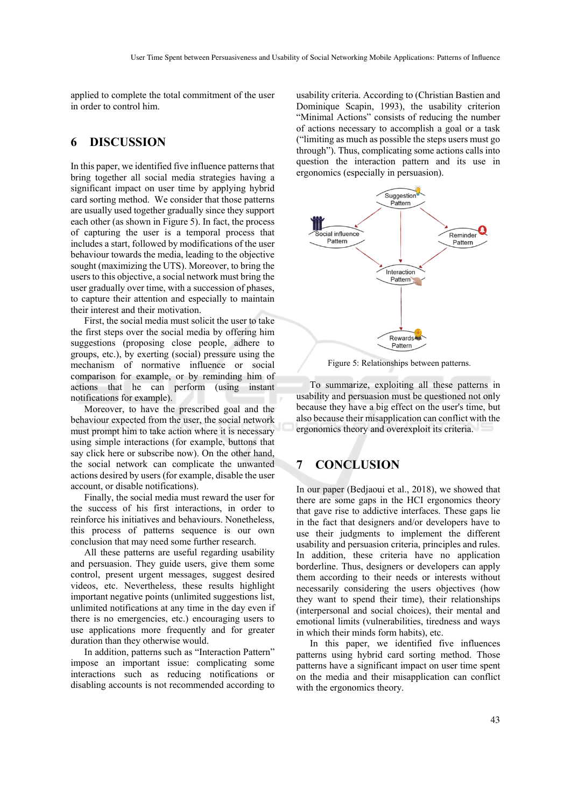applied to complete the total commitment of the user in order to control him.

### **6 DISCUSSION**

In this paper, we identified five influence patterns that bring together all social media strategies having a significant impact on user time by applying hybrid card sorting method. We consider that those patterns are usually used together gradually since they support each other (as shown in Figure 5). In fact, the process of capturing the user is a temporal process that includes a start, followed by modifications of the user behaviour towards the media, leading to the objective sought (maximizing the UTS). Moreover, to bring the users to this objective, a social network must bring the user gradually over time, with a succession of phases, to capture their attention and especially to maintain their interest and their motivation.

First, the social media must solicit the user to take the first steps over the social media by offering him suggestions (proposing close people, adhere to groups, etc.), by exerting (social) pressure using the mechanism of normative influence or social comparison for example, or by reminding him of actions that he can perform (using instant notifications for example).

Moreover, to have the prescribed goal and the behaviour expected from the user, the social network must prompt him to take action where it is necessary using simple interactions (for example, buttons that say click here or subscribe now). On the other hand, the social network can complicate the unwanted actions desired by users (for example, disable the user account, or disable notifications).

Finally, the social media must reward the user for the success of his first interactions, in order to reinforce his initiatives and behaviours. Nonetheless, this process of patterns sequence is our own conclusion that may need some further research.

All these patterns are useful regarding usability and persuasion. They guide users, give them some control, present urgent messages, suggest desired videos, etc. Nevertheless, these results highlight important negative points (unlimited suggestions list, unlimited notifications at any time in the day even if there is no emergencies, etc.) encouraging users to use applications more frequently and for greater duration than they otherwise would.

In addition, patterns such as "Interaction Pattern" impose an important issue: complicating some interactions such as reducing notifications or disabling accounts is not recommended according to

usability criteria. According to (Christian Bastien and Dominique Scapin, 1993), the usability criterion "Minimal Actions" consists of reducing the number of actions necessary to accomplish a goal or a task ("limiting as much as possible the steps users must go through"). Thus, complicating some actions calls into question the interaction pattern and its use in ergonomics (especially in persuasion).



Figure 5: Relationships between patterns.

To summarize, exploiting all these patterns in usability and persuasion must be questioned not only because they have a big effect on the user's time, but also because their misapplication can conflict with the ergonomics theory and overexploit its criteria.

# **7 CONCLUSION**

In our paper (Bedjaoui et al., 2018), we showed that there are some gaps in the HCI ergonomics theory that gave rise to addictive interfaces. These gaps lie in the fact that designers and/or developers have to use their judgments to implement the different usability and persuasion criteria, principles and rules. In addition, these criteria have no application borderline. Thus, designers or developers can apply them according to their needs or interests without necessarily considering the users objectives (how they want to spend their time), their relationships (interpersonal and social choices), their mental and emotional limits (vulnerabilities, tiredness and ways in which their minds form habits), etc.

In this paper, we identified five influences patterns using hybrid card sorting method. Those patterns have a significant impact on user time spent on the media and their misapplication can conflict with the ergonomics theory.